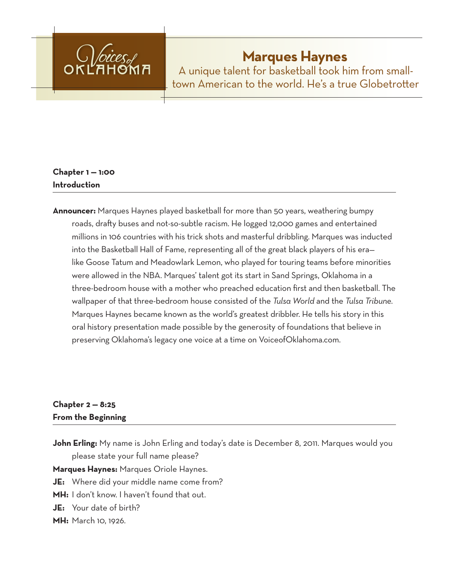

# **Marques Haynes**

A unique talent for basketball took him from smalltown American to the world. He's a true Globetrotter

# **Chapter 1 — 1:00 Introduction**

**Announcer:** Marques Haynes played basketball for more than 50 years, weathering bumpy roads, drafty buses and not-so-subtle racism. He logged 12,000 games and entertained millions in 106 countries with his trick shots and masterful dribbling. Marques was inducted into the Basketball Hall of Fame, representing all of the great black players of his era like Goose Tatum and Meadowlark Lemon, who played for touring teams before minorities were allowed in the NBA. Marques' talent got its start in Sand Springs, Oklahoma in a three-bedroom house with a mother who preached education first and then basketball. The wallpaper of that three-bedroom house consisted of the *Tulsa World* and the *Tulsa Tribune.*  Marques Haynes became known as the world's greatest dribbler. He tells his story in this oral history presentation made possible by the generosity of foundations that believe in preserving Oklahoma's legacy one voice at a time on VoiceofOklahoma.com.

## **Chapter 2 — 8:25 From the Beginning**

**John Erling:** My name is John Erling and today's date is December 8, 2011. Marques would you please state your full name please?

**Marques Haynes:** Marques Oriole Haynes.

**JE:** Where did your middle name come from?

**MH:** I don't know. I haven't found that out.

**JE:** Your date of birth?

**MH:** March 10, 1926.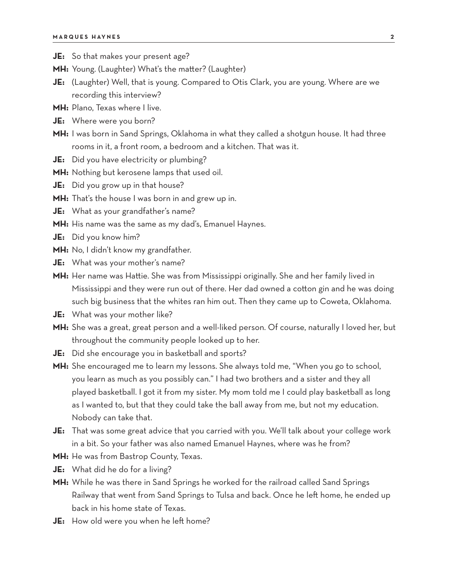- **JE:** So that makes your present age?
- **MH:** Young. (Laughter) What's the matter? (Laughter)
- **JE:** (Laughter) Well, that is young. Compared to Otis Clark, you are young. Where are we recording this interview?
- **MH:** Plano, Texas where I live.
- **JE:** Where were you born?
- **MH:** I was born in Sand Springs, Oklahoma in what they called a shotgun house. It had three rooms in it, a front room, a bedroom and a kitchen. That was it.
- **JE:** Did you have electricity or plumbing?
- **MH:** Nothing but kerosene lamps that used oil.
- **JE:** Did you grow up in that house?
- **MH:** That's the house I was born in and grew up in.
- **JE:** What as your grandfather's name?
- **MH:** His name was the same as my dad's, Emanuel Haynes.
- **JE:** Did you know him?
- **MH:** No, I didn't know my grandfather.
- **JE:** What was your mother's name?
- **MH:** Her name was Hattie. She was from Mississippi originally. She and her family lived in Mississippi and they were run out of there. Her dad owned a cotton gin and he was doing such big business that the whites ran him out. Then they came up to Coweta, Oklahoma.
- **JE:** What was your mother like?
- **MH:** She was a great, great person and a well-liked person. Of course, naturally I loved her, but throughout the community people looked up to her.
- **JE:** Did she encourage you in basketball and sports?
- **MH:** She encouraged me to learn my lessons. She always told me, "When you go to school, you learn as much as you possibly can." I had two brothers and a sister and they all played basketball. I got it from my sister. My mom told me I could play basketball as long as I wanted to, but that they could take the ball away from me, but not my education. Nobody can take that.
- **JE:** That was some great advice that you carried with you. We'll talk about your college work in a bit. So your father was also named Emanuel Haynes, where was he from?
- **MH:** He was from Bastrop County, Texas.
- **JE:** What did he do for a living?
- **MH:** While he was there in Sand Springs he worked for the railroad called Sand Springs Railway that went from Sand Springs to Tulsa and back. Once he left home, he ended up back in his home state of Texas.
- **JE:** How old were you when he left home?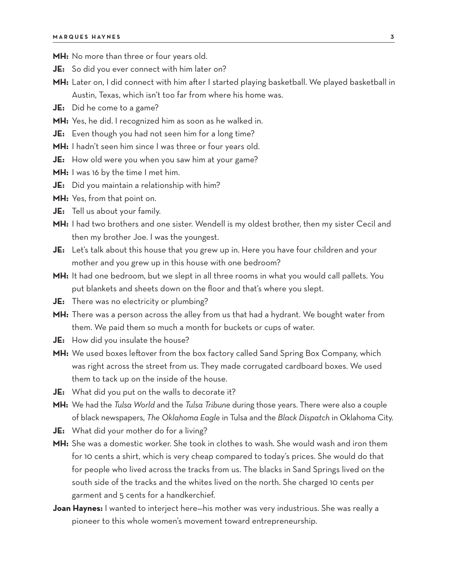- **MH:** No more than three or four years old.
- **JE:** So did you ever connect with him later on?
- **MH:** Later on, I did connect with him after I started playing basketball. We played basketball in Austin, Texas, which isn't too far from where his home was.
- **JE:** Did he come to a game?
- **MH:** Yes, he did. I recognized him as soon as he walked in.
- **JE:** Even though you had not seen him for a long time?
- **MH:** I hadn't seen him since I was three or four years old.
- **JE:** How old were you when you saw him at your game?
- **MH:** I was 16 by the time I met him.
- **JE:** Did you maintain a relationship with him?
- **MH:** Yes, from that point on.
- **JE:** Tell us about your family.
- **MH:** I had two brothers and one sister. Wendell is my oldest brother, then my sister Cecil and then my brother Joe. I was the youngest.
- **JE:** Let's talk about this house that you grew up in. Here you have four children and your mother and you grew up in this house with one bedroom?
- **MH:** It had one bedroom, but we slept in all three rooms in what you would call pallets. You put blankets and sheets down on the floor and that's where you slept.
- **JE:** There was no electricity or plumbing?
- **MH:** There was a person across the alley from us that had a hydrant. We bought water from them. We paid them so much a month for buckets or cups of water.
- **JE:** How did you insulate the house?
- **MH:** We used boxes leftover from the box factory called Sand Spring Box Company, which was right across the street from us. They made corrugated cardboard boxes. We used them to tack up on the inside of the house.
- **JE:** What did you put on the walls to decorate it?
- **MH:** We had the *Tulsa World* and the *Tulsa Tribune* during those years. There were also a couple of black newspapers, *The Oklahoma Eagle* in Tulsa and the *Black Dispatch* in Oklahoma City.
- **JE:** What did your mother do for a living?
- **MH:** She was a domestic worker. She took in clothes to wash. She would wash and iron them for 10 cents a shirt, which is very cheap compared to today's prices. She would do that for people who lived across the tracks from us. The blacks in Sand Springs lived on the south side of the tracks and the whites lived on the north. She charged 10 cents per garment and 5 cents for a handkerchief.
- **Joan Haynes:** I wanted to interject here—his mother was very industrious. She was really a pioneer to this whole women's movement toward entrepreneurship.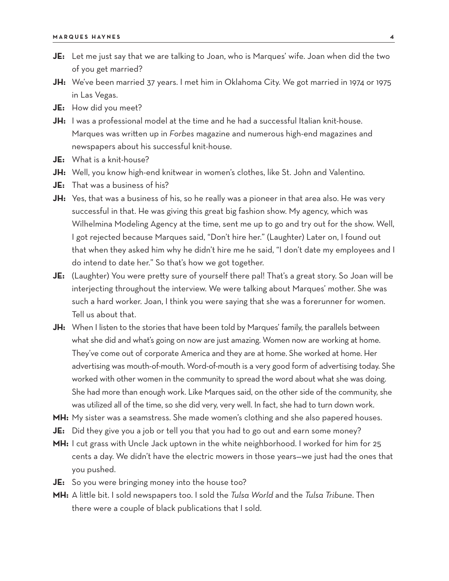- **JE:** Let me just say that we are talking to Joan, who is Marques' wife. Joan when did the two of you get married?
- **JH:** We've been married 37 years. I met him in Oklahoma City. We got married in 1974 or 1975 in Las Vegas.
- **JE:** How did you meet?
- JH: I was a professional model at the time and he had a successful Italian knit-house. Marques was written up in *Forbes* magazine and numerous high-end magazines and newspapers about his successful knit-house.
- **JE:** What is a knit-house?
- **JH:** Well, you know high-end knitwear in women's clothes, like St. John and Valentino.
- **JE:** That was a business of his?
- **JH:** Yes, that was a business of his, so he really was a pioneer in that area also. He was very successful in that. He was giving this great big fashion show. My agency, which was Wilhelmina Modeling Agency at the time, sent me up to go and try out for the show. Well, I got rejected because Marques said, "Don't hire her." (Laughter) Later on, I found out that when they asked him why he didn't hire me he said, "I don't date my employees and I do intend to date her." So that's how we got together.
- **JE:** (Laughter) You were pretty sure of yourself there pal! That's a great story. So Joan will be interjecting throughout the interview. We were talking about Marques' mother. She was such a hard worker. Joan, I think you were saying that she was a forerunner for women. Tell us about that.
- JH: When I listen to the stories that have been told by Marques' family, the parallels between what she did and what's going on now are just amazing. Women now are working at home. They've come out of corporate America and they are at home. She worked at home. Her advertising was mouth-of-mouth. Word-of-mouth is a very good form of advertising today. She worked with other women in the community to spread the word about what she was doing. She had more than enough work. Like Marques said, on the other side of the community, she was utilized all of the time, so she did very, very well. In fact, she had to turn down work.
- **MH:** My sister was a seamstress. She made women's clothing and she also papered houses.
- **JE:** Did they give you a job or tell you that you had to go out and earn some money?
- **MH:** I cut grass with Uncle Jack uptown in the white neighborhood. I worked for him for 25 cents a day. We didn't have the electric mowers in those years—we just had the ones that you pushed.
- **JE:** So you were bringing money into the house too?
- **MH:** A little bit. I sold newspapers too. I sold the *Tulsa World* and the *Tulsa Tribune*. Then there were a couple of black publications that I sold.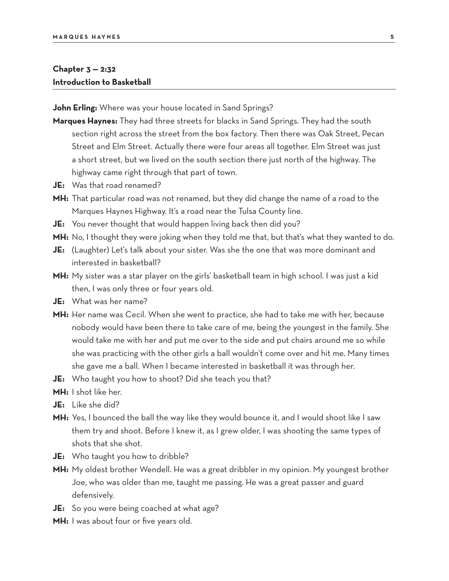## **Chapter 3 — 2:32 Introduction to Basketball**

**John Erling:** Where was your house located in Sand Springs?

- **Marques Haynes:** They had three streets for blacks in Sand Springs. They had the south section right across the street from the box factory. Then there was Oak Street, Pecan Street and Elm Street. Actually there were four areas all together. Elm Street was just a short street, but we lived on the south section there just north of the highway. The highway came right through that part of town.
- **JE:** Was that road renamed?
- **MH:** That particular road was not renamed, but they did change the name of a road to the Marques Haynes Highway. It's a road near the Tulsa County line.
- **JE:** You never thought that would happen living back then did you?
- **MH:** No, I thought they were joking when they told me that, but that's what they wanted to do.
- **JE:** (Laughter) Let's talk about your sister. Was she the one that was more dominant and interested in basketball?
- **MH:** My sister was a star player on the girls' basketball team in high school. I was just a kid then, I was only three or four years old.
- **JE:** What was her name?
- **MH:** Her name was Cecil. When she went to practice, she had to take me with her, because nobody would have been there to take care of me, being the youngest in the family. She would take me with her and put me over to the side and put chairs around me so while she was practicing with the other girls a ball wouldn't come over and hit me. Many times she gave me a ball. When I became interested in basketball it was through her.
- **JE:** Who taught you how to shoot? Did she teach you that?
- **MH:** I shot like her.
- **JE:** Like she did?
- **MH:** Yes, I bounced the ball the way like they would bounce it, and I would shoot like I saw them try and shoot. Before I knew it, as I grew older, I was shooting the same types of shots that she shot.
- **JE:** Who taught you how to dribble?
- **MH:** My oldest brother Wendell. He was a great dribbler in my opinion. My youngest brother Joe, who was older than me, taught me passing. He was a great passer and guard defensively.
- **JE:** So you were being coached at what age?
- **MH:** I was about four or five years old.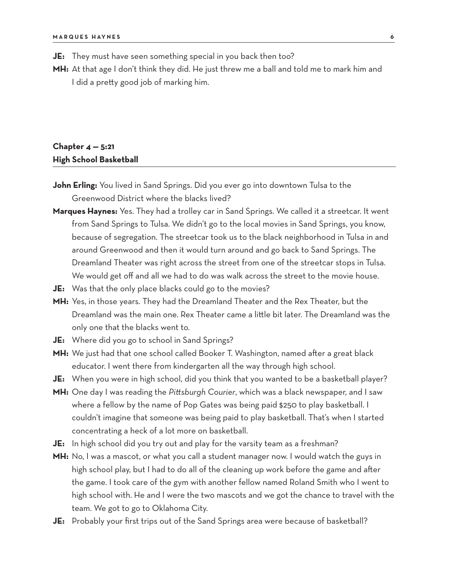**JE:** They must have seen something special in you back then too?

**MH:** At that age I don't think they did. He just threw me a ball and told me to mark him and I did a pretty good job of marking him.

## **Chapter 4 — 5:21 High School Basketball**

- **John Erling:** You lived in Sand Springs. Did you ever go into downtown Tulsa to the Greenwood District where the blacks lived?
- **Marques Haynes:** Yes. They had a trolley car in Sand Springs. We called it a streetcar. It went from Sand Springs to Tulsa. We didn't go to the local movies in Sand Springs, you know, because of segregation. The streetcar took us to the black neighborhood in Tulsa in and around Greenwood and then it would turn around and go back to Sand Springs. The Dreamland Theater was right across the street from one of the streetcar stops in Tulsa. We would get off and all we had to do was walk across the street to the movie house.
- **JE:** Was that the only place blacks could go to the movies?
- **MH:** Yes, in those years. They had the Dreamland Theater and the Rex Theater, but the Dreamland was the main one. Rex Theater came a little bit later. The Dreamland was the only one that the blacks went to.
- **JE:** Where did you go to school in Sand Springs?
- **MH:** We just had that one school called Booker T. Washington, named after a great black educator. I went there from kindergarten all the way through high school.
- **JE:** When you were in high school, did you think that you wanted to be a basketball player?
- **MH:** One day I was reading the *Pittsburgh Courier*, which was a black newspaper, and I saw where a fellow by the name of Pop Gates was being paid \$250 to play basketball. I couldn't imagine that someone was being paid to play basketball. That's when I started concentrating a heck of a lot more on basketball.
- **JE:** In high school did you try out and play for the varsity team as a freshman?
- **MH:** No, I was a mascot, or what you call a student manager now. I would watch the guys in high school play, but I had to do all of the cleaning up work before the game and after the game. I took care of the gym with another fellow named Roland Smith who I went to high school with. He and I were the two mascots and we got the chance to travel with the team. We got to go to Oklahoma City.
- **JE:** Probably your first trips out of the Sand Springs area were because of basketball?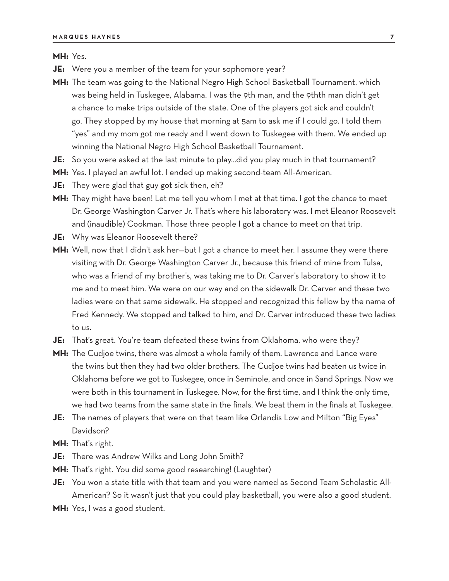**MH:** Yes.

- **JE:** Were you a member of the team for your sophomore year?
- **MH:** The team was going to the National Negro High School Basketball Tournament, which was being held in Tuskegee, Alabama. I was the 9th man, and the 9thth man didn't get a chance to make trips outside of the state. One of the players got sick and couldn't go. They stopped by my house that morning at 5am to ask me if I could go. I told them "yes" and my mom got me ready and I went down to Tuskegee with them. We ended up winning the National Negro High School Basketball Tournament.
- **JE:** So you were asked at the last minute to play…did you play much in that tournament?
- **MH:** Yes. I played an awful lot. I ended up making second-team All-American.
- **JE:** They were glad that guy got sick then, eh?
- **MH:** They might have been! Let me tell you whom I met at that time. I got the chance to meet Dr. George Washington Carver Jr. That's where his laboratory was. I met Eleanor Roosevelt and (inaudible) Cookman. Those three people I got a chance to meet on that trip.
- **JE:** Why was Eleanor Roosevelt there?
- MH: Well, now that I didn't ask her-but I got a chance to meet her. I assume they were there visiting with Dr. George Washington Carver Jr., because this friend of mine from Tulsa, who was a friend of my brother's, was taking me to Dr. Carver's laboratory to show it to me and to meet him. We were on our way and on the sidewalk Dr. Carver and these two ladies were on that same sidewalk. He stopped and recognized this fellow by the name of Fred Kennedy. We stopped and talked to him, and Dr. Carver introduced these two ladies to us.
- **JE:** That's great. You're team defeated these twins from Oklahoma, who were they?
- **MH:** The Cudjoe twins, there was almost a whole family of them. Lawrence and Lance were the twins but then they had two older brothers. The Cudjoe twins had beaten us twice in Oklahoma before we got to Tuskegee, once in Seminole, and once in Sand Springs. Now we were both in this tournament in Tuskegee. Now, for the first time, and I think the only time, we had two teams from the same state in the finals. We beat them in the finals at Tuskegee.
- **JE:** The names of players that were on that team like Orlandis Low and Milton "Big Eyes" Davidson?
- **MH:** That's right.
- **JE:** There was Andrew Wilks and Long John Smith?
- **MH:** That's right. You did some good researching! (Laughter)
- **JE:** You won a state title with that team and you were named as Second Team Scholastic All-American? So it wasn't just that you could play basketball, you were also a good student.
- **MH:** Yes, I was a good student.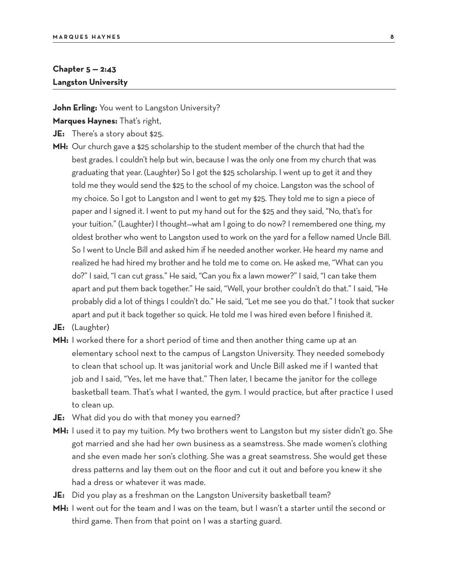## **Chapter 5 — 2:43 Langston University**

**John Erling:** You went to Langston University?

**Marques Haynes:** That's right,

- **JE:** There's a story about \$25.
- **MH:** Our church gave a \$25 scholarship to the student member of the church that had the best grades. I couldn't help but win, because I was the only one from my church that was graduating that year. (Laughter) So I got the \$25 scholarship. I went up to get it and they told me they would send the \$25 to the school of my choice. Langston was the school of my choice. So I got to Langston and I went to get my \$25. They told me to sign a piece of paper and I signed it. I went to put my hand out for the \$25 and they said, "No, that's for your tuition." (Laughter) I thought—what am I going to do now? I remembered one thing, my oldest brother who went to Langston used to work on the yard for a fellow named Uncle Bill. So I went to Uncle Bill and asked him if he needed another worker. He heard my name and realized he had hired my brother and he told me to come on. He asked me, "What can you do?" I said, "I can cut grass." He said, "Can you fix a lawn mower?" I said, "I can take them apart and put them back together." He said, "Well, your brother couldn't do that." I said, "He probably did a lot of things I couldn't do." He said, "Let me see you do that." I took that sucker apart and put it back together so quick. He told me I was hired even before I finished it.
- **JE:** (Laughter)
- **MH:** I worked there for a short period of time and then another thing came up at an elementary school next to the campus of Langston University. They needed somebody to clean that school up. It was janitorial work and Uncle Bill asked me if I wanted that job and I said, "Yes, let me have that." Then later, I became the janitor for the college basketball team. That's what I wanted, the gym. I would practice, but after practice I used to clean up.
- **JE:** What did you do with that money you earned?
- **MH:** I used it to pay my tuition. My two brothers went to Langston but my sister didn't go. She got married and she had her own business as a seamstress. She made women's clothing and she even made her son's clothing. She was a great seamstress. She would get these dress patterns and lay them out on the floor and cut it out and before you knew it she had a dress or whatever it was made.
- **JE:** Did you play as a freshman on the Langston University basketball team?
- **MH:** I went out for the team and I was on the team, but I wasn't a starter until the second or third game. Then from that point on I was a starting guard.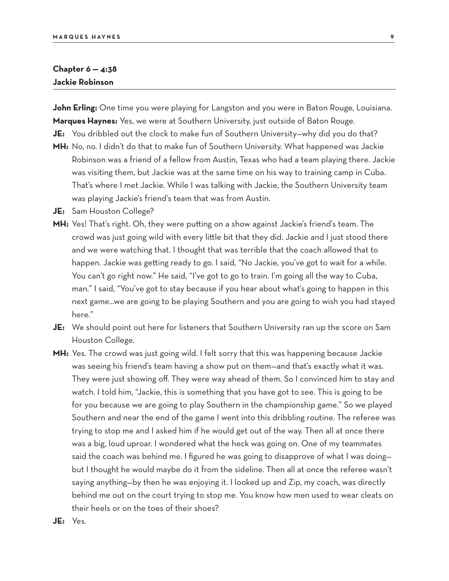#### **Chapter 6 — 4:38 Jackie Robinson**

**John Erling:** One time you were playing for Langston and you were in Baton Rouge, Louisiana. **Marques Haynes:** Yes, we were at Southern University, just outside of Baton Rouge.

- **JE:** You dribbled out the clock to make fun of Southern University—why did you do that?
- **MH:** No, no. I didn't do that to make fun of Southern University. What happened was Jackie Robinson was a friend of a fellow from Austin, Texas who had a team playing there. Jackie was visiting them, but Jackie was at the same time on his way to training camp in Cuba. That's where I met Jackie. While I was talking with Jackie, the Southern University team was playing Jackie's friend's team that was from Austin.
- **JE:** Sam Houston College?
- **MH:** Yes! That's right. Oh, they were putting on a show against Jackie's friend's team. The crowd was just going wild with every little bit that they did. Jackie and I just stood there and we were watching that. I thought that was terrible that the coach allowed that to happen. Jackie was getting ready to go. I said, "No Jackie, you've got to wait for a while. You can't go right now." He said, "I've got to go to train. I'm going all the way to Cuba, man." I said, "You've got to stay because if you hear about what's going to happen in this next game…we are going to be playing Southern and you are going to wish you had stayed here."
- **JE:** We should point out here for listeners that Southern University ran up the score on Sam Houston College.
- MH: Yes. The crowd was just going wild. I felt sorry that this was happening because Jackie was seeing his friend's team having a show put on them—and that's exactly what it was. They were just showing off. They were way ahead of them. So I convinced him to stay and watch. I told him, "Jackie, this is something that you have got to see. This is going to be for you because we are going to play Southern in the championship game." So we played Southern and near the end of the game I went into this dribbling routine. The referee was trying to stop me and I asked him if he would get out of the way. Then all at once there was a big, loud uproar. I wondered what the heck was going on. One of my teammates said the coach was behind me. I figured he was going to disapprove of what I was doing but I thought he would maybe do it from the sideline. Then all at once the referee wasn't saying anything—by then he was enjoying it. I looked up and Zip, my coach, was directly behind me out on the court trying to stop me. You know how men used to wear cleats on their heels or on the toes of their shoes?
- **JE:** Yes.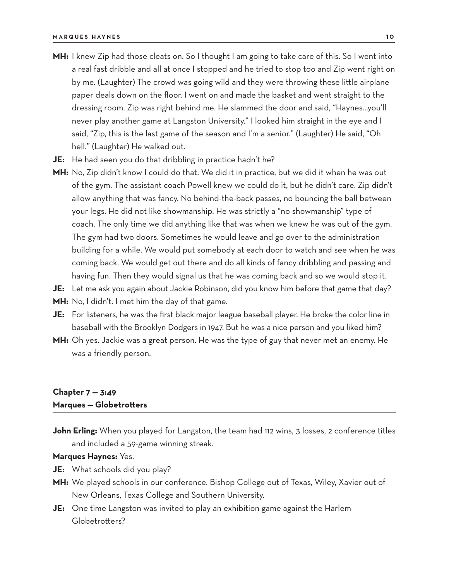- **MH:** I knew Zip had those cleats on. So I thought I am going to take care of this. So I went into a real fast dribble and all at once I stopped and he tried to stop too and Zip went right on by me. (Laughter) The crowd was going wild and they were throwing these little airplane paper deals down on the floor. I went on and made the basket and went straight to the dressing room. Zip was right behind me. He slammed the door and said, "Haynes…you'll never play another game at Langston University." I looked him straight in the eye and I said, "Zip, this is the last game of the season and I'm a senior." (Laughter) He said, "Oh hell." (Laughter) He walked out.
- **JE:** He had seen you do that dribbling in practice hadn't he?
- **MH:** No, Zip didn't know I could do that. We did it in practice, but we did it when he was out of the gym. The assistant coach Powell knew we could do it, but he didn't care. Zip didn't allow anything that was fancy. No behind-the-back passes, no bouncing the ball between your legs. He did not like showmanship. He was strictly a "no showmanship" type of coach. The only time we did anything like that was when we knew he was out of the gym. The gym had two doors. Sometimes he would leave and go over to the administration building for a while. We would put somebody at each door to watch and see when he was coming back. We would get out there and do all kinds of fancy dribbling and passing and having fun. Then they would signal us that he was coming back and so we would stop it.
- **JE:** Let me ask you again about Jackie Robinson, did you know him before that game that day?
- **MH:** No, I didn't. I met him the day of that game.
- **JE:** For listeners, he was the first black major league baseball player. He broke the color line in baseball with the Brooklyn Dodgers in 1947. But he was a nice person and you liked him?
- **MH:** Oh yes. Jackie was a great person. He was the type of guy that never met an enemy. He was a friendly person.

## **Chapter 7 — 3:49 Marques — Globetrotters**

John Erling: When you played for Langston, the team had 112 wins, 3 losses, 2 conference titles and included a 59-game winning streak.

#### **Marques Haynes:** Yes.

- **JE:** What schools did you play?
- **MH:** We played schools in our conference. Bishop College out of Texas, Wiley, Xavier out of New Orleans, Texas College and Southern University.
- **JE:** One time Langston was invited to play an exhibition game against the Harlem Globetrotters?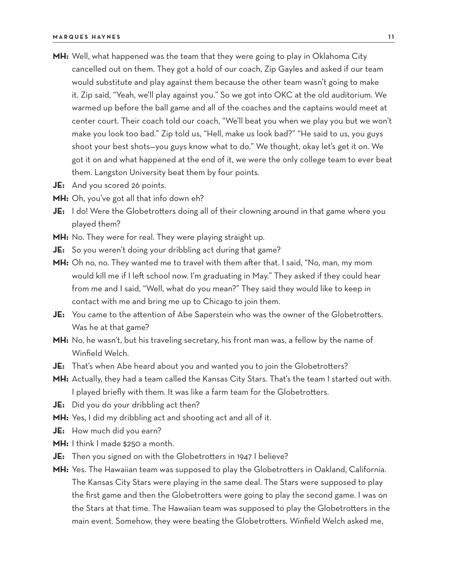- **MH:** Well, what happened was the team that they were going to play in Oklahoma City cancelled out on them. They got a hold of our coach, Zip Gayles and asked if our team would substitute and play against them because the other team wasn't going to make it. Zip said, "Yeah, we'll play against you." So we got into OKC at the old auditorium. We warmed up before the ball game and all of the coaches and the captains would meet at center court. Their coach told our coach, "We'll beat you when we play you but we won't make you look too bad." Zip told us, "Hell, make us look bad?" "He said to us, you guys shoot your best shots—you guys know what to do." We thought, okay let's get it on. We got it on and what happened at the end of it, we were the only college team to ever beat them. Langston University beat them by four points.
- **JE:** And you scored 26 points.
- **MH:** Oh, you've got all that info down eh?
- **JE:** I do! Were the Globetrotters doing all of their clowning around in that game where you played them?
- **MH:** No. They were for real. They were playing straight up.
- **JE:** So you weren't doing your dribbling act during that game?
- **MH:** Oh no, no. They wanted me to travel with them after that. I said, "No, man, my mom would kill me if I left school now. I'm graduating in May." They asked if they could hear from me and I said, "Well, what do you mean?" They said they would like to keep in contact with me and bring me up to Chicago to join them.
- **JE:** You came to the attention of Abe Saperstein who was the owner of the Globetrotters. Was he at that game?
- **MH:** No, he wasn't, but his traveling secretary, his front man was, a fellow by the name of Winfield Welch.
- **JE:** That's when Abe heard about you and wanted you to join the Globetrotters?
- **MH:** Actually, they had a team called the Kansas City Stars. That's the team I started out with. I played briefly with them. It was like a farm team for the Globetrotters.
- **JE:** Did you do your dribbling act then?
- **MH:** Yes, I did my dribbling act and shooting act and all of it.
- **JE:** How much did you earn?
- **MH:** I think I made \$250 a month.
- **JE:** Then you signed on with the Globetrotters in 1947 I believe?
- **MH:** Yes. The Hawaiian team was supposed to play the Globetrotters in Oakland, California. The Kansas City Stars were playing in the same deal. The Stars were supposed to play the first game and then the Globetrotters were going to play the second game. I was on the Stars at that time. The Hawaiian team was supposed to play the Globetrotters in the main event. Somehow, they were beating the Globetrotters. Winfield Welch asked me,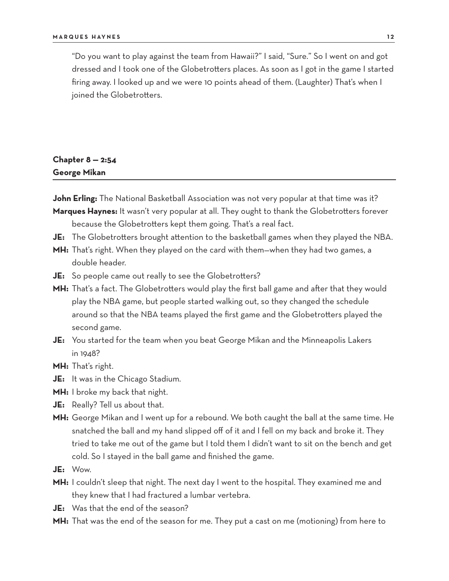"Do you want to play against the team from Hawaii?" I said, "Sure." So I went on and got dressed and I took one of the Globetrotters places. As soon as I got in the game I started firing away. I looked up and we were 10 points ahead of them. (Laughter) That's when I joined the Globetrotters.

## **Chapter 8 — 2:54 George Mikan**

**John Erling:** The National Basketball Association was not very popular at that time was it?

- **Marques Haynes:** It wasn't very popular at all. They ought to thank the Globetrotters forever because the Globetrotters kept them going. That's a real fact.
- **JE:** The Globetrotters brought attention to the basketball games when they played the NBA.
- **MH:** That's right. When they played on the card with them—when they had two games, a double header.
- **JE:** So people came out really to see the Globetrotters?
- **MH:** That's a fact. The Globetrotters would play the first ball game and after that they would play the NBA game, but people started walking out, so they changed the schedule around so that the NBA teams played the first game and the Globetrotters played the second game.
- **JE:** You started for the team when you beat George Mikan and the Minneapolis Lakers in 1948?
- **MH:** That's right.
- **JE:** It was in the Chicago Stadium.
- **MH:** I broke my back that night.
- **JE:** Really? Tell us about that.
- **MH:** George Mikan and I went up for a rebound. We both caught the ball at the same time. He snatched the ball and my hand slipped off of it and I fell on my back and broke it. They tried to take me out of the game but I told them I didn't want to sit on the bench and get cold. So I stayed in the ball game and finished the game.
- **JE:** Wow.
- **MH:** I couldn't sleep that night. The next day I went to the hospital. They examined me and they knew that I had fractured a lumbar vertebra.
- **JE:** Was that the end of the season?
- **MH:** That was the end of the season for me. They put a cast on me (motioning) from here to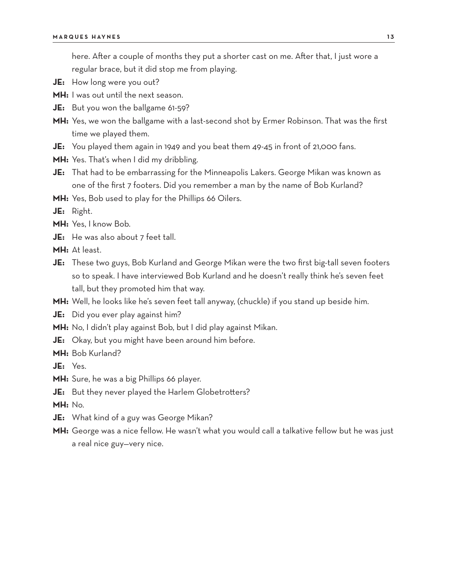here. After a couple of months they put a shorter cast on me. After that, I just wore a regular brace, but it did stop me from playing.

- **JE:** How long were you out?
- **MH:** I was out until the next season.
- **JE:** But you won the ballgame 61-59?
- **MH:** Yes, we won the ballgame with a last-second shot by Ermer Robinson. That was the first time we played them.
- **JE:** You played them again in 1949 and you beat them 49-45 in front of 21,000 fans.
- **MH:** Yes. That's when I did my dribbling.
- **JE:** That had to be embarrassing for the Minneapolis Lakers. George Mikan was known as one of the first 7 footers. Did you remember a man by the name of Bob Kurland?
- **MH:** Yes, Bob used to play for the Phillips 66 Oilers.

**JE:** Right.

- **MH:** Yes, I know Bob.
- **JE:** He was also about 7 feet tall.
- **MH:** At least.
- **JE:** These two guys, Bob Kurland and George Mikan were the two first big-tall seven footers so to speak. I have interviewed Bob Kurland and he doesn't really think he's seven feet tall, but they promoted him that way.
- **MH:** Well, he looks like he's seven feet tall anyway, (chuckle) if you stand up beside him.
- **JE:** Did you ever play against him?
- **MH:** No, I didn't play against Bob, but I did play against Mikan.
- **JE:** Okay, but you might have been around him before.

**MH:** Bob Kurland?

- **JE:** Yes.
- **MH:** Sure, he was a big Phillips 66 player.
- **JE:** But they never played the Harlem Globetrotters?
- **MH:** No.
- **JE:** What kind of a guy was George Mikan?
- **MH:** George was a nice fellow. He wasn't what you would call a talkative fellow but he was just a real nice guy—very nice.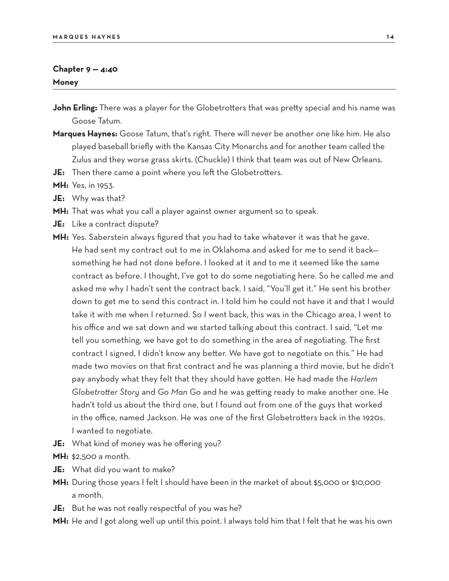### **Chapter 9 — 4:40 Money**

- **John Erling:** There was a player for the Globetrotters that was pretty special and his name was Goose Tatum.
- **Marques Haynes:** Goose Tatum, that's right. There will never be another one like him. He also played baseball briefly with the Kansas City Monarchs and for another team called the Zulus and they worse grass skirts. (Chuckle) I think that team was out of New Orleans.
- **JE:** Then there came a point where you left the Globetrotters.

**MH:** Yes, in 1953.

- **JE:** Why was that?
- **MH:** That was what you call a player against owner argument so to speak.
- **JE:** Like a contract dispute?
- **MH:** Yes. Saberstein always figured that you had to take whatever it was that he gave. He had sent my contract out to me in Oklahoma and asked for me to send it back something he had not done before. I looked at it and to me it seemed like the same contract as before. I thought, I've got to do some negotiating here. So he called me and asked me why I hadn't sent the contract back. I said, "You'll get it." He sent his brother down to get me to send this contract in. I told him he could not have it and that I would take it with me when I returned. So I went back, this was in the Chicago area, I went to his office and we sat down and we started talking about this contract. I said, "Let me tell you something, we have got to do something in the area of negotiating. The first contract I signed, I didn't know any better. We have got to negotiate on this." He had made two movies on that first contract and he was planning a third movie, but he didn't pay anybody what they felt that they should have gotten. He had made the *Harlem Globetrotter Story* and *Go Man Go* and he was getting ready to make another one. He hadn't told us about the third one, but I found out from one of the guys that worked in the office, named Jackson. He was one of the first Globetrotters back in the 1920s. I wanted to negotiate.
- **JE:** What kind of money was he offering you?
- **MH:** \$2,500 a month.
- **JE:** What did you want to make?
- **MH:** During those years I felt I should have been in the market of about \$5,000 or \$10,000 a month.
- **JE:** But he was not really respectful of you was he?
- **MH:** He and I got along well up until this point. I always told him that I felt that he was his own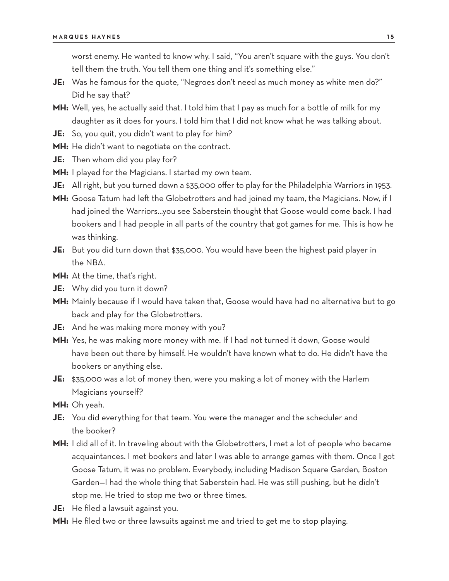worst enemy. He wanted to know why. I said, "You aren't square with the guys. You don't tell them the truth. You tell them one thing and it's something else."

- **JE:** Was he famous for the quote, "Negroes don't need as much money as white men do?" Did he say that?
- **MH:** Well, yes, he actually said that. I told him that I pay as much for a bottle of milk for my daughter as it does for yours. I told him that I did not know what he was talking about.
- **JE:** So, you quit, you didn't want to play for him?
- **MH:** He didn't want to negotiate on the contract.
- **JE:** Then whom did you play for?
- **MH:** I played for the Magicians. I started my own team.
- JE: All right, but you turned down a \$35,000 offer to play for the Philadelphia Warriors in 1953.
- **MH:** Goose Tatum had left the Globetrotters and had joined my team, the Magicians. Now, if I had joined the Warriors…you see Saberstein thought that Goose would come back. I had bookers and I had people in all parts of the country that got games for me. This is how he was thinking.
- **JE:** But you did turn down that \$35,000. You would have been the highest paid player in the NBA.
- **MH:** At the time, that's right.
- **JE:** Why did you turn it down?
- **MH:** Mainly because if I would have taken that, Goose would have had no alternative but to go back and play for the Globetrotters.
- **JE:** And he was making more money with you?
- **MH:** Yes, he was making more money with me. If I had not turned it down, Goose would have been out there by himself. He wouldn't have known what to do. He didn't have the bookers or anything else.
- **JE:** \$35,000 was a lot of money then, were you making a lot of money with the Harlem Magicians yourself?
- **MH:** Oh yeah.
- **JE:** You did everything for that team. You were the manager and the scheduler and the booker?
- **MH:** I did all of it. In traveling about with the Globetrotters, I met a lot of people who became acquaintances. I met bookers and later I was able to arrange games with them. Once I got Goose Tatum, it was no problem. Everybody, including Madison Square Garden, Boston Garden—I had the whole thing that Saberstein had. He was still pushing, but he didn't stop me. He tried to stop me two or three times.
- **JE:** He filed a lawsuit against you.
- **MH:** He filed two or three lawsuits against me and tried to get me to stop playing.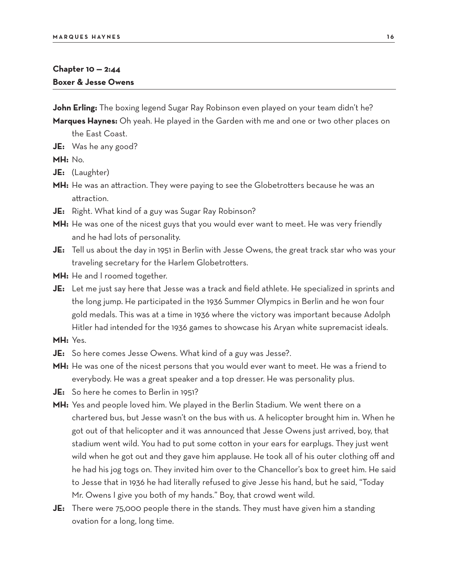## **Chapter 10 — 2:44 Boxer & Jesse Owens**

**John Erling:** The boxing legend Sugar Ray Robinson even played on your team didn't he?

- **Marques Haynes:** Oh yeah. He played in the Garden with me and one or two other places on the East Coast.
- **JE:** Was he any good?

**MH:** No.

- **JE:** (Laughter)
- MH: He was an attraction. They were paying to see the Globetrotters because he was an attraction.
- **JE:** Right. What kind of a guy was Sugar Ray Robinson?
- **MH:** He was one of the nicest guys that you would ever want to meet. He was very friendly and he had lots of personality.
- **JE:** Tell us about the day in 1951 in Berlin with Jesse Owens, the great track star who was your traveling secretary for the Harlem Globetrotters.
- **MH:** He and I roomed together.
- **JE:** Let me just say here that Jesse was a track and field athlete. He specialized in sprints and the long jump. He participated in the 1936 Summer Olympics in Berlin and he won four gold medals. This was at a time in 1936 where the victory was important because Adolph Hitler had intended for the 1936 games to showcase his Aryan white supremacist ideals.
- **MH:** Yes.
- **JE:** So here comes Jesse Owens. What kind of a guy was Jesse?.
- **MH:** He was one of the nicest persons that you would ever want to meet. He was a friend to everybody. He was a great speaker and a top dresser. He was personality plus.
- **JE:** So here he comes to Berlin in 1951?
- **MH:** Yes and people loved him. We played in the Berlin Stadium. We went there on a chartered bus, but Jesse wasn't on the bus with us. A helicopter brought him in. When he got out of that helicopter and it was announced that Jesse Owens just arrived, boy, that stadium went wild. You had to put some cotton in your ears for earplugs. They just went wild when he got out and they gave him applause. He took all of his outer clothing off and he had his jog togs on. They invited him over to the Chancellor's box to greet him. He said to Jesse that in 1936 he had literally refused to give Jesse his hand, but he said, "Today Mr. Owens I give you both of my hands." Boy, that crowd went wild.
- **JE:** There were 75,000 people there in the stands. They must have given him a standing ovation for a long, long time.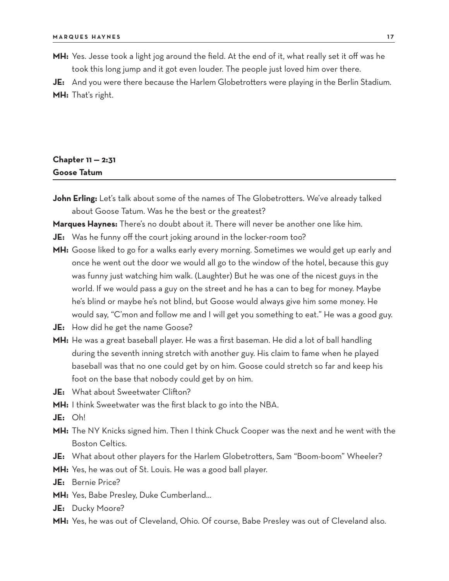**MH:** Yes. Jesse took a light jog around the field. At the end of it, what really set it off was he took this long jump and it got even louder. The people just loved him over there.

**JE:** And you were there because the Harlem Globetrotters were playing in the Berlin Stadium. **MH:** That's right.

## **Chapter 11 — 2:31 Goose Tatum**

John Erling: Let's talk about some of the names of The Globetrotters. We've already talked about Goose Tatum. Was he the best or the greatest?

**Marques Haynes:** There's no doubt about it. There will never be another one like him.

**JE:** Was he funny off the court joking around in the locker-room too?

- **MH:** Goose liked to go for a walks early every morning. Sometimes we would get up early and once he went out the door we would all go to the window of the hotel, because this guy was funny just watching him walk. (Laughter) But he was one of the nicest guys in the world. If we would pass a guy on the street and he has a can to beg for money. Maybe he's blind or maybe he's not blind, but Goose would always give him some money. He would say, "C'mon and follow me and I will get you something to eat." He was a good guy.
- **JE:** How did he get the name Goose?
- **MH:** He was a great baseball player. He was a first baseman. He did a lot of ball handling during the seventh inning stretch with another guy. His claim to fame when he played baseball was that no one could get by on him. Goose could stretch so far and keep his foot on the base that nobody could get by on him.
- **JE:** What about Sweetwater Clifton?
- **MH:** I think Sweetwater was the first black to go into the NBA.
- **JE:** Oh!
- **MH:** The NY Knicks signed him. Then I think Chuck Cooper was the next and he went with the Boston Celtics.
- **JE:** What about other players for the Harlem Globetrotters, Sam "Boom-boom" Wheeler?
- **MH:** Yes, he was out of St. Louis. He was a good ball player.
- **JE:** Bernie Price?
- **MH:** Yes, Babe Presley, Duke Cumberland…
- **JE:** Ducky Moore?
- **MH:** Yes, he was out of Cleveland, Ohio. Of course, Babe Presley was out of Cleveland also.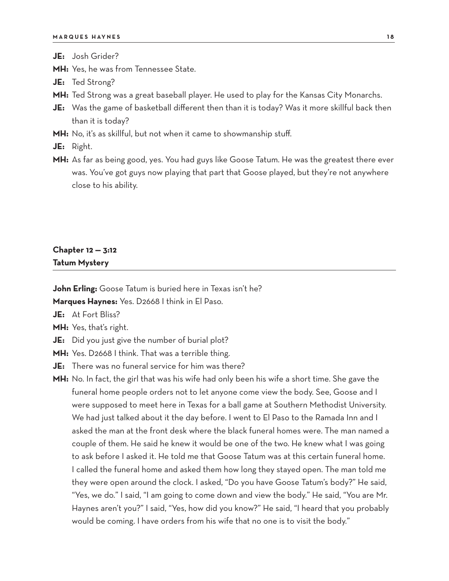**JE:** Josh Grider?

- **MH:** Yes, he was from Tennessee State.
- **JE:** Ted Strong?
- **MH:** Ted Strong was a great baseball player. He used to play for the Kansas City Monarchs.
- **JE:** Was the game of basketball different then than it is today? Was it more skillful back then than it is today?
- **MH:** No, it's as skillful, but not when it came to showmanship stuff.
- **JE:** Right.
- **MH:** As far as being good, yes. You had guys like Goose Tatum. He was the greatest there ever was. You've got guys now playing that part that Goose played, but they're not anywhere close to his ability.

## **Chapter 12 — 3:12 Tatum Mystery**

**John Erling:** Goose Tatum is buried here in Texas isn't he? **Marques Haynes:** Yes. D2668 I think in El Paso.

**JE:** At Fort Bliss?

**MH:** Yes, that's right.

- **JE:** Did you just give the number of burial plot?
- **MH:** Yes. D2668 I think. That was a terrible thing.

**JE:** There was no funeral service for him was there?

**MH:** No. In fact, the girl that was his wife had only been his wife a short time. She gave the funeral home people orders not to let anyone come view the body. See, Goose and I were supposed to meet here in Texas for a ball game at Southern Methodist University. We had just talked about it the day before. I went to El Paso to the Ramada Inn and I asked the man at the front desk where the black funeral homes were. The man named a couple of them. He said he knew it would be one of the two. He knew what I was going to ask before I asked it. He told me that Goose Tatum was at this certain funeral home. I called the funeral home and asked them how long they stayed open. The man told me they were open around the clock. I asked, "Do you have Goose Tatum's body?" He said, "Yes, we do." I said, "I am going to come down and view the body." He said, "You are Mr. Haynes aren't you?" I said, "Yes, how did you know?" He said, "I heard that you probably would be coming. I have orders from his wife that no one is to visit the body."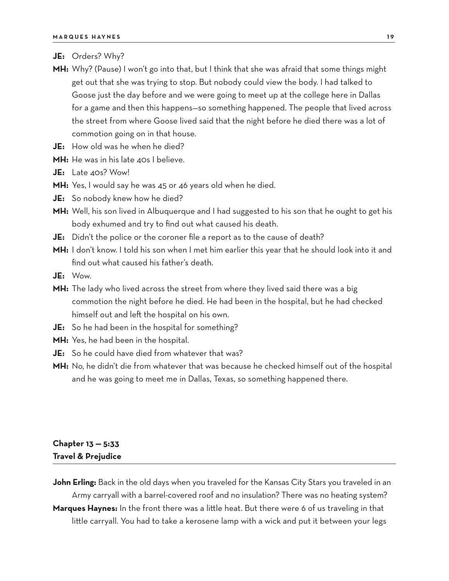- **JE:** Orders? Why?
- **MH:** Why? (Pause) I won't go into that, but I think that she was afraid that some things might get out that she was trying to stop. But nobody could view the body. I had talked to Goose just the day before and we were going to meet up at the college here in Dallas for a game and then this happens—so something happened. The people that lived across the street from where Goose lived said that the night before he died there was a lot of commotion going on in that house.
- **JE:** How old was he when he died?
- **MH:** He was in his late 40s I believe.
- **JE:** Late 40s? Wow!
- **MH:** Yes, I would say he was 45 or 46 years old when he died.
- **JE:** So nobody knew how he died?
- **MH:** Well, his son lived in Albuquerque and I had suggested to his son that he ought to get his body exhumed and try to find out what caused his death.
- **JE:** Didn't the police or the coroner file a report as to the cause of death?
- **MH:** I don't know. I told his son when I met him earlier this year that he should look into it and find out what caused his father's death.
- **JE:** Wow.
- **MH:** The lady who lived across the street from where they lived said there was a big commotion the night before he died. He had been in the hospital, but he had checked himself out and left the hospital on his own.
- **JE:** So he had been in the hospital for something?
- **MH:** Yes, he had been in the hospital.
- **JE:** So he could have died from whatever that was?
- **MH:** No, he didn't die from whatever that was because he checked himself out of the hospital and he was going to meet me in Dallas, Texas, so something happened there.

## **Chapter 13 — 5:33 Travel & Prejudice**

**John Erling:** Back in the old days when you traveled for the Kansas City Stars you traveled in an Army carryall with a barrel-covered roof and no insulation? There was no heating system?

**Marques Haynes:** In the front there was a little heat. But there were 6 of us traveling in that little carryall. You had to take a kerosene lamp with a wick and put it between your legs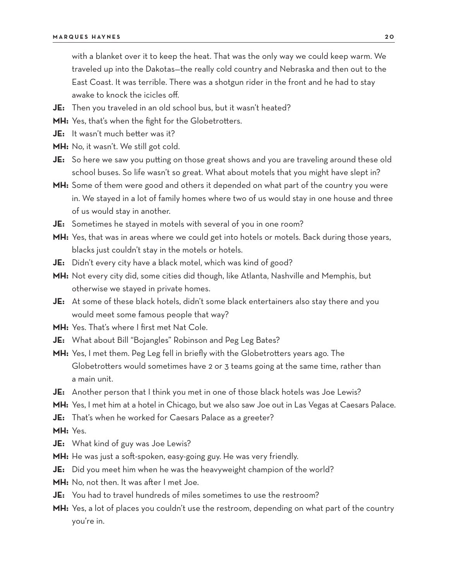with a blanket over it to keep the heat. That was the only way we could keep warm. We traveled up into the Dakotas—the really cold country and Nebraska and then out to the East Coast. It was terrible. There was a shotgun rider in the front and he had to stay awake to knock the icicles off.

- **JE:** Then you traveled in an old school bus, but it wasn't heated?
- **MH:** Yes, that's when the fight for the Globetrotters.
- **JE:** It wasn't much better was it?
- **MH:** No, it wasn't. We still got cold.
- **JE:** So here we saw you putting on those great shows and you are traveling around these old school buses. So life wasn't so great. What about motels that you might have slept in?
- **MH:** Some of them were good and others it depended on what part of the country you were in. We stayed in a lot of family homes where two of us would stay in one house and three of us would stay in another.
- **JE:** Sometimes he stayed in motels with several of you in one room?
- **MH:** Yes, that was in areas where we could get into hotels or motels. Back during those years, blacks just couldn't stay in the motels or hotels.
- **JE:** Didn't every city have a black motel, which was kind of good?
- **MH:** Not every city did, some cities did though, like Atlanta, Nashville and Memphis, but otherwise we stayed in private homes.
- **JE:** At some of these black hotels, didn't some black entertainers also stay there and you would meet some famous people that way?
- **MH:** Yes. That's where I first met Nat Cole.
- **JE:** What about Bill "Bojangles" Robinson and Peg Leg Bates?
- **MH:** Yes, I met them. Peg Leg fell in briefly with the Globetrotters years ago. The Globetrotters would sometimes have 2 or 3 teams going at the same time, rather than a main unit.
- **JE:** Another person that I think you met in one of those black hotels was Joe Lewis?
- **MH:** Yes, I met him at a hotel in Chicago, but we also saw Joe out in Las Vegas at Caesars Palace.
- **JE:** That's when he worked for Caesars Palace as a greeter?
- **MH:** Yes.
- **JE:** What kind of guy was Joe Lewis?
- **MH:** He was just a soft-spoken, easy-going guy. He was very friendly.
- **JE:** Did you meet him when he was the heavyweight champion of the world?
- **MH:** No, not then. It was after I met Joe.
- **JE:** You had to travel hundreds of miles sometimes to use the restroom?
- **MH:** Yes, a lot of places you couldn't use the restroom, depending on what part of the country you're in.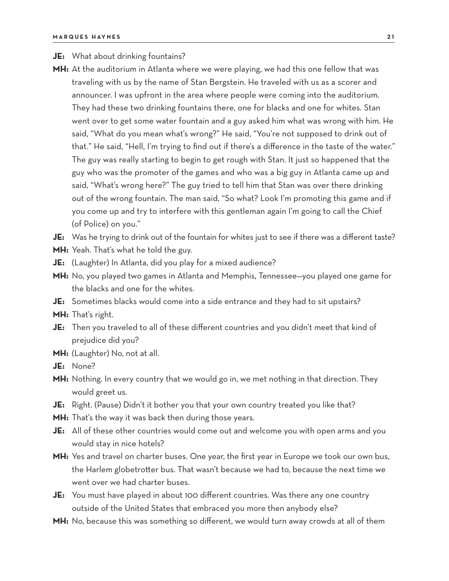#### **JE:** What about drinking fountains?

**MH:** At the auditorium in Atlanta where we were playing, we had this one fellow that was traveling with us by the name of Stan Bergstein. He traveled with us as a scorer and announcer. I was upfront in the area where people were coming into the auditorium. They had these two drinking fountains there, one for blacks and one for whites. Stan went over to get some water fountain and a guy asked him what was wrong with him. He said, "What do you mean what's wrong?" He said, "You're not supposed to drink out of that." He said, "Hell, I'm trying to find out if there's a difference in the taste of the water." The guy was really starting to begin to get rough with Stan. It just so happened that the guy who was the promoter of the games and who was a big guy in Atlanta came up and said, "What's wrong here?" The guy tried to tell him that Stan was over there drinking out of the wrong fountain. The man said, "So what? Look I'm promoting this game and if you come up and try to interfere with this gentleman again I'm going to call the Chief (of Police) on you."

**JE:** Was he trying to drink out of the fountain for whites just to see if there was a different taste?

- **MH:** Yeah. That's what he told the guy.
- **JE:** (Laughter) In Atlanta, did you play for a mixed audience?
- **MH:** No, you played two games in Atlanta and Memphis, Tennessee—you played one game for the blacks and one for the whites.
- **JE:** Sometimes blacks would come into a side entrance and they had to sit upstairs?

**MH:** That's right.

- **JE:** Then you traveled to all of these different countries and you didn't meet that kind of prejudice did you?
- **MH:** (Laughter) No, not at all.
- **JE:** None?
- **MH:** Nothing. In every country that we would go in, we met nothing in that direction. They would greet us.
- **JE:** Right. (Pause) Didn't it bother you that your own country treated you like that?
- **MH:** That's the way it was back then during those years.
- **JE:** All of these other countries would come out and welcome you with open arms and you would stay in nice hotels?
- **MH:** Yes and travel on charter buses. One year, the first year in Europe we took our own bus, the Harlem globetrotter bus. That wasn't because we had to, because the next time we went over we had charter buses.
- **JE:** You must have played in about 100 different countries. Was there any one country outside of the United States that embraced you more then anybody else?
- **MH:** No, because this was something so different, we would turn away crowds at all of them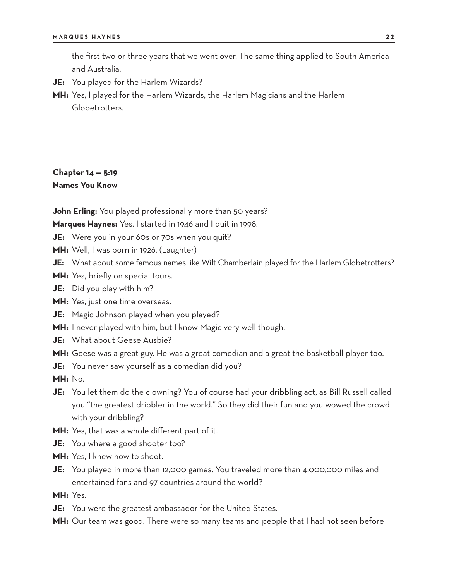the first two or three years that we went over. The same thing applied to South America and Australia.

- **JE:** You played for the Harlem Wizards?
- **MH:** Yes, I played for the Harlem Wizards, the Harlem Magicians and the Harlem Globetrotters.

## **Chapter 14 — 5:19 Names You Know**

**John Erling:** You played professionally more than 50 years?

**Marques Haynes:** Yes. I started in 1946 and I quit in 1998.

**JE:** Were you in your 60s or 70s when you quit?

**MH:** Well, I was born in 1926. (Laughter)

- **JE:** What about some famous names like Wilt Chamberlain played for the Harlem Globetrotters?
- **MH:** Yes, briefly on special tours.
- **JE:** Did you play with him?
- **MH:** Yes, just one time overseas.
- **JE:** Magic Johnson played when you played?
- **MH:** I never played with him, but I know Magic very well though.
- **JE:** What about Geese Ausbie?
- **MH:** Geese was a great guy. He was a great comedian and a great the basketball player too.
- **JE:** You never saw yourself as a comedian did you?

**MH:** No.

- **JE:** You let them do the clowning? You of course had your dribbling act, as Bill Russell called you "the greatest dribbler in the world." So they did their fun and you wowed the crowd with your dribbling?
- **MH:** Yes, that was a whole different part of it.
- **JE:** You where a good shooter too?
- **MH:** Yes, I knew how to shoot.
- **JE:** You played in more than 12,000 games. You traveled more than 4,000,000 miles and entertained fans and 97 countries around the world?

**MH:** Yes.

- **JE:** You were the greatest ambassador for the United States.
- **MH:** Our team was good. There were so many teams and people that I had not seen before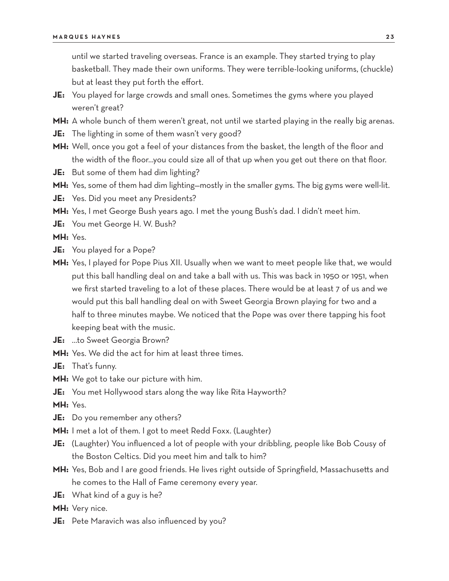until we started traveling overseas. France is an example. They started trying to play basketball. They made their own uniforms. They were terrible-looking uniforms, (chuckle) but at least they put forth the effort.

- **JE:** You played for large crowds and small ones. Sometimes the gyms where you played weren't great?
- **MH:** A whole bunch of them weren't great, not until we started playing in the really big arenas.
- **JE:** The lighting in some of them wasn't very good?
- **MH:** Well, once you got a feel of your distances from the basket, the length of the floor and the width of the floor…you could size all of that up when you get out there on that floor.
- **JE:** But some of them had dim lighting?
- **MH:** Yes, some of them had dim lighting—mostly in the smaller gyms. The big gyms were well-lit.
- **JE:** Yes. Did you meet any Presidents?
- **MH:** Yes, I met George Bush years ago. I met the young Bush's dad. I didn't meet him.
- **JE:** You met George H. W. Bush?

**MH:** Yes.

- **JE:** You played for a Pope?
- **MH:** Yes, I played for Pope Pius XII. Usually when we want to meet people like that, we would put this ball handling deal on and take a ball with us. This was back in 1950 or 1951, when we first started traveling to a lot of these places. There would be at least 7 of us and we would put this ball handling deal on with Sweet Georgia Brown playing for two and a half to three minutes maybe. We noticed that the Pope was over there tapping his foot keeping beat with the music.
- **JE:** …to Sweet Georgia Brown?
- **MH:** Yes. We did the act for him at least three times.
- **JE:** That's funny.
- **MH:** We got to take our picture with him.
- **JE:** You met Hollywood stars along the way like Rita Hayworth?

**MH:** Yes.

- **JE:** Do you remember any others?
- **MH:** I met a lot of them. I got to meet Redd Foxx. (Laughter)
- **JE:** (Laughter) You influenced a lot of people with your dribbling, people like Bob Cousy of the Boston Celtics. Did you meet him and talk to him?
- **MH:** Yes, Bob and I are good friends. He lives right outside of Springfield, Massachusetts and he comes to the Hall of Fame ceremony every year.
- **JE:** What kind of a guy is he?
- **MH:** Very nice.
- **JE:** Pete Maravich was also influenced by you?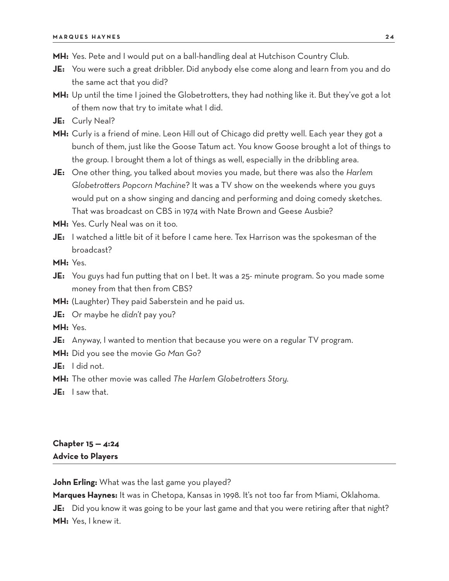- **MH:** Yes. Pete and I would put on a ball-handling deal at Hutchison Country Club.
- **JE:** You were such a great dribbler. Did anybody else come along and learn from you and do the same act that you did?
- **MH:** Up until the time I joined the Globetrotters, they had nothing like it. But they've got a lot of them now that try to imitate what I did.
- **JE:** Curly Neal?
- **MH:** Curly is a friend of mine. Leon Hill out of Chicago did pretty well. Each year they got a bunch of them, just like the Goose Tatum act. You know Goose brought a lot of things to the group. I brought them a lot of things as well, especially in the dribbling area.
- **JE:** One other thing, you talked about movies you made, but there was also the *Harlem Globetrotters Popcorn Machine*? It was a TV show on the weekends where you guys would put on a show singing and dancing and performing and doing comedy sketches. That was broadcast on CBS in 1974 with Nate Brown and Geese Ausbie?
- **MH:** Yes. Curly Neal was on it too.
- **JE:** I watched a little bit of it before I came here. Tex Harrison was the spokesman of the broadcast?

**MH:** Yes.

- **JE:** You guys had fun putting that on I bet. It was a 25- minute program. So you made some money from that then from CBS?
- **MH:** (Laughter) They paid Saberstein and he paid us.
- **JE:** Or maybe he *didn't* pay you?

**MH:** Yes.

- **JE:** Anyway, I wanted to mention that because you were on a regular TV program.
- **MH:** Did you see the movie *Go Man Go*?

**JE:** I did not.

- **MH:** The other movie was called *The Harlem Globetrotters Story.*
- **JE:** I saw that.

## **Chapter 15 — 4:24 Advice to Players**

**John Erling:** What was the last game you played?

**Marques Haynes:** It was in Chetopa, Kansas in 1998. It's not too far from Miami, Oklahoma. **JE:** Did you know it was going to be your last game and that you were retiring after that night? **MH:** Yes, I knew it.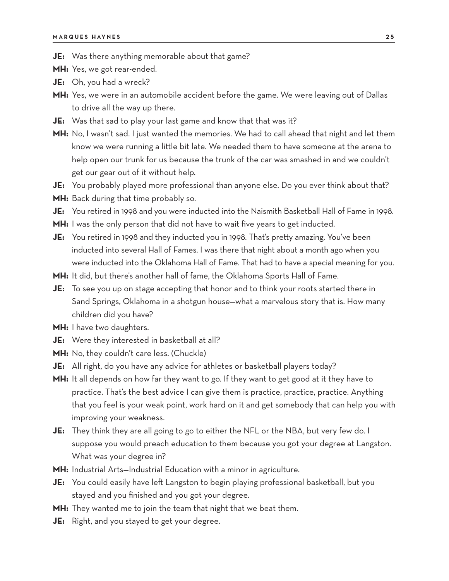- **JE:** Was there anything memorable about that game?
- **MH:** Yes, we got rear-ended.
- **JE:** Oh, you had a wreck?
- **MH:** Yes, we were in an automobile accident before the game. We were leaving out of Dallas to drive all the way up there.
- **JE:** Was that sad to play your last game and know that that was it?
- **MH:** No, I wasn't sad. I just wanted the memories. We had to call ahead that night and let them know we were running a little bit late. We needed them to have someone at the arena to help open our trunk for us because the trunk of the car was smashed in and we couldn't get our gear out of it without help.
- **JE:** You probably played more professional than anyone else. Do you ever think about that?
- **MH:** Back during that time probably so.
- **JE:** You retired in 1998 and you were inducted into the Naismith Basketball Hall of Fame in 1998.
- **MH:** I was the only person that did not have to wait five years to get inducted.
- **JE:** You retired in 1998 and they inducted you in 1998. That's pretty amazing. You've been inducted into several Hall of Fames. I was there that night about a month ago when you were inducted into the Oklahoma Hall of Fame. That had to have a special meaning for you.
- **MH:** It did, but there's another hall of fame, the Oklahoma Sports Hall of Fame.
- **JE:** To see you up on stage accepting that honor and to think your roots started there in Sand Springs, Oklahoma in a shotgun house—what a marvelous story that is. How many children did you have?
- **MH:** I have two daughters.
- **JE:** Were they interested in basketball at all?
- **MH:** No, they couldn't care less. (Chuckle)
- **JE:** All right, do you have any advice for athletes or basketball players today?
- **MH:** It all depends on how far they want to go. If they want to get good at it they have to practice. That's the best advice I can give them is practice, practice, practice. Anything that you feel is your weak point, work hard on it and get somebody that can help you with improving your weakness.
- **JE:** They think they are all going to go to either the NFL or the NBA, but very few do. I suppose you would preach education to them because you got your degree at Langston. What was your degree in?
- **MH:** Industrial Arts—Industrial Education with a minor in agriculture.
- **JE:** You could easily have left Langston to begin playing professional basketball, but you stayed and you finished and you got your degree.
- **MH:** They wanted me to join the team that night that we beat them.
- **JE:** Right, and you stayed to get your degree.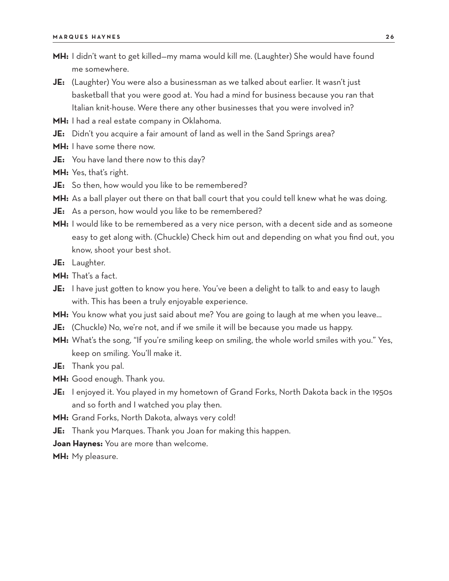- **MH:** I didn't want to get killed—my mama would kill me. (Laughter) She would have found me somewhere.
- **JE:** (Laughter) You were also a businessman as we talked about earlier. It wasn't just basketball that you were good at. You had a mind for business because you ran that Italian knit-house. Were there any other businesses that you were involved in?
- **MH:** I had a real estate company in Oklahoma.
- **JE:** Didn't you acquire a fair amount of land as well in the Sand Springs area?
- **MH:** I have some there now.
- **JE:** You have land there now to this day?
- **MH:** Yes, that's right.
- **JE:** So then, how would you like to be remembered?
- **MH:** As a ball player out there on that ball court that you could tell knew what he was doing.
- **JE:** As a person, how would you like to be remembered?
- **MH:** I would like to be remembered as a very nice person, with a decent side and as someone easy to get along with. (Chuckle) Check him out and depending on what you find out, you know, shoot your best shot.
- **JE:** Laughter.
- **MH:** That's a fact.
- **JE:** I have just gotten to know you here. You've been a delight to talk to and easy to laugh with. This has been a truly enjoyable experience.
- **MH:** You know what you just said about me? You are going to laugh at me when you leave…
- **JE:** (Chuckle) No, we're not, and if we smile it will be because you made us happy.
- **MH:** What's the song, "If you're smiling keep on smiling, the whole world smiles with you." Yes, keep on smiling. You'll make it.
- **JE:** Thank you pal.
- **MH:** Good enough. Thank you.
- **JE:** I enjoyed it. You played in my hometown of Grand Forks, North Dakota back in the 1950s and so forth and I watched you play then.
- **MH:** Grand Forks, North Dakota, always very cold!
- **JE:** Thank you Marques. Thank you Joan for making this happen.
- **Joan Haynes:** You are more than welcome.

**MH:** My pleasure.